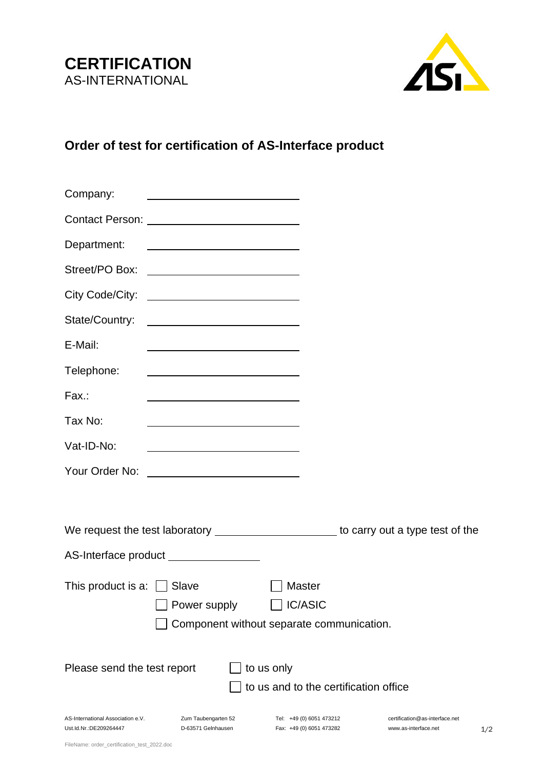



## **Order of test for certification of AS-Interface product**

| Company:                                                    |                                                                                                                       |                                                                              |                                                              |
|-------------------------------------------------------------|-----------------------------------------------------------------------------------------------------------------------|------------------------------------------------------------------------------|--------------------------------------------------------------|
|                                                             | Contact Person: _____________________________                                                                         |                                                                              |                                                              |
| Department:                                                 | <u> 1980 - Johann Barn, fransk politik (d. 1980)</u>                                                                  |                                                                              |                                                              |
|                                                             |                                                                                                                       |                                                                              |                                                              |
|                                                             | City Code/City: _____________________________                                                                         |                                                                              |                                                              |
| State/Country:                                              | and the control of the control of the control of the control of the control of                                        |                                                                              |                                                              |
| E-Mail:                                                     | <u> 1989 - Johann Barn, mars ann an t-Amhain an t-Amhain an t-Amhain an t-Amhain an t-Amhain an t-Amhain an t-Amh</u> |                                                                              |                                                              |
| Telephone:                                                  |                                                                                                                       |                                                                              |                                                              |
| Fax.:                                                       | <u> 1980 - Johann Barn, amerikansk politiker (d. 1980)</u>                                                            |                                                                              |                                                              |
| Tax No:                                                     | <u> 1989 - Johann Barbara, martin amerikan basar dan basa dan basa dan basa dalam basa dalam basa dalam basa dan</u>  |                                                                              |                                                              |
| Vat-ID-No:                                                  | <u> 1989 - Johann Barbara, martin amerikan basar dan basa dan basa dan basa dalam basa dalam basa dalam basa dala</u> |                                                                              |                                                              |
|                                                             |                                                                                                                       |                                                                              |                                                              |
|                                                             |                                                                                                                       |                                                                              |                                                              |
|                                                             | We request the test laboratory _________________________ to carry out a type test of the                              |                                                                              |                                                              |
|                                                             | AS-Interface product ________________                                                                                 |                                                                              |                                                              |
| This product is a: $\Box$ Slave                             | Power supply                                                                                                          | <b>Master</b><br><b>IC/ASIC</b><br>Component without separate communication. |                                                              |
| Please send the test report                                 |                                                                                                                       | to us only<br>to us and to the certification office                          |                                                              |
| AS-International Association e.V.<br>Ust.Id.Nr.:DE209264447 | Zum Taubengarten 52<br>D-63571 Gelnhausen                                                                             | Tel: +49 (0) 6051 473212<br>Fax: +49 (0) 6051 473282                         | certification@as-interface.net<br>www.as-interface.net<br>1, |